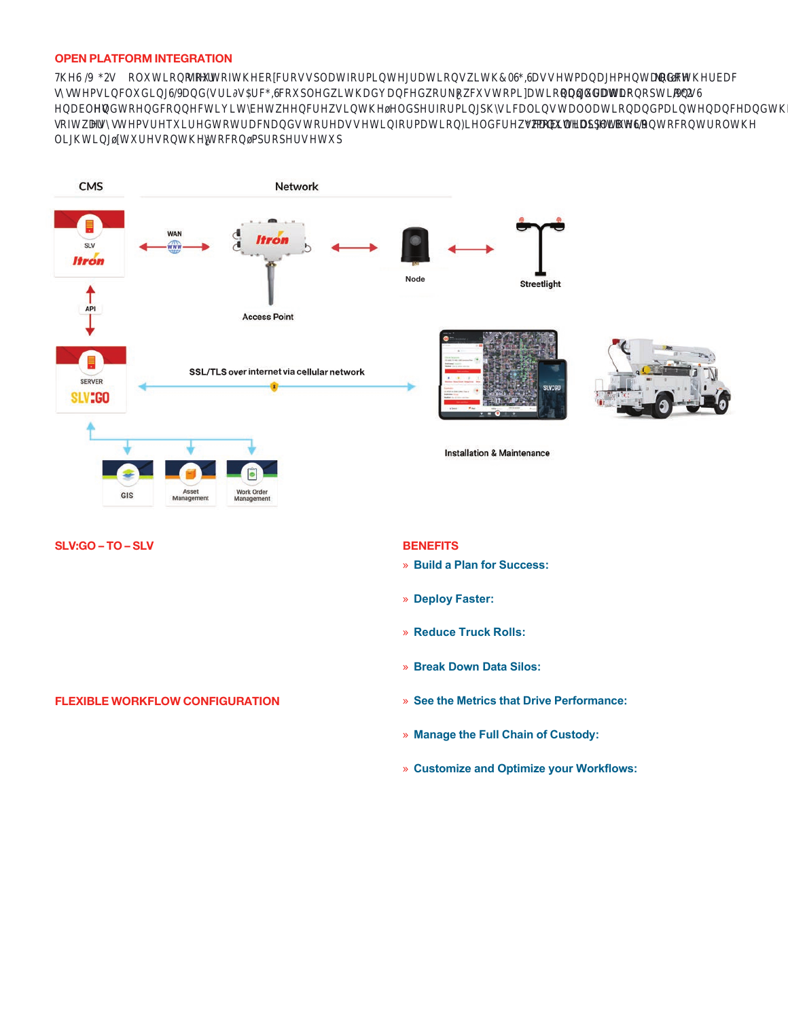# OPEN PLATFORM INTEGRATION

7KH6 ∧2 W ROXWLRQ**RINU** RIWKHER BURVVSODWIRUPLQWHJUDWLRQV KWK & GEDVVHWPDQDJHPHQWDQ**GRWAKHUEDF** VAWHPVLQFOXGLQJ6/DQGWULMVF&FRXSOHG&WKDGYDQFHG&UN&BXVWRPLDWLRQDQGGDWAXUDWLRQRSWLAXQY6 HQDEOHNQGWRHQGFRQQHFWLYLWEHWHHQFUHMLQWKHHOGSHUIRUPLQJSKMLFDOLQVWDOODWLRQDQGPDLQWHQDQFHDQGWK VRIWDHV⊠WWHPVUHTXLUHGWRWUDFNDQGVWRUHDVVHWLQIRUPDWLRQ⊠HOGFUH**NZHJY@XWDHOGSWM®M**WZRQWRFRQWUROWKH OLJKWLQJWXUHVRQWKHMRFRQPSURSHUVHWXS



# SLV:GO – TO – SLV

SLV:GO sends the data captured by the field crew continuously to the configured SLV instance. In addition to the identification of the node, this interface also sets the values of attributes in SLV with the data that is captured by the field crew. The streetlight commissioning process is automatically triggered by this interface. This interface is designed to maintain data integrity and proper commissioning of streetlights in SLV based on the new install, replace, or remove workflow, executed by the field crew.

# FLEXIBLE WORKFLOW CONFIGURATION

SLV:GO offers an advanced, configurable workflow system. Workflows are configured with the server's drag and drop zerocode workflow editor to manage each streetlight record through its complete lifecycle. The powerful conditional logic that's built into the » **Customize and Optimize your Workflows:** Reduce workflows gives mobile users the most efficient, intelligent questionnaire possible, in order to minimize data entry steps, reduce task times and maximize worker productivity.

# **BENEFITS**

- » **Build a Plan for Success:** Plan your multi-phase streetlights project with investment-grade surveys
- » **Deploy Faster:** Achieve roll-out targets, lower project expenses, reduce O&M costs and accelerate energy savings
- » **Reduce Truck Rolls:** Provide crews with easy-to-use tools to install, maintain, diagnose and repair components
- » **Break Down Data Silos:** Synchronize data between GIS, asset management & back-office systems
- » **See the Metrics that Drive Performance:** Monitor program status, work orders, crew performance, failures and exceptions
- » **Manage the Full Chain of Custody:** Track inventory assets from manufacturer to installation and maintenance
- task times, maximize productivity & eliminate errors with tailored features